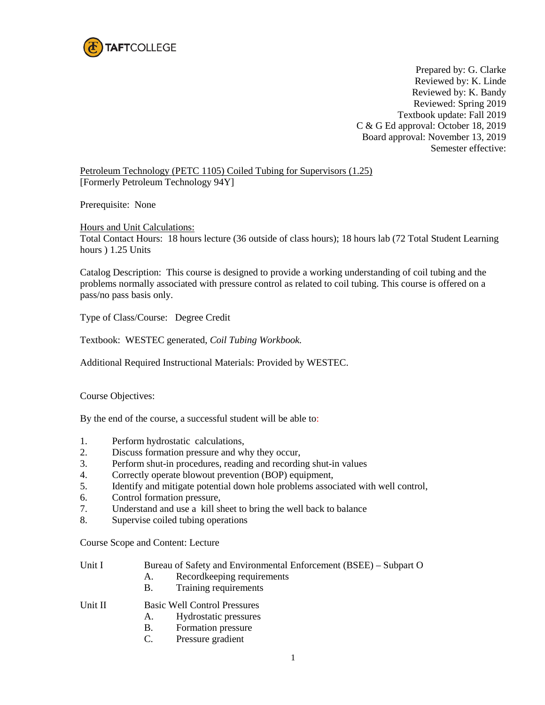

Prepared by: G. Clarke Reviewed by: K. Linde Reviewed by: K. Bandy Reviewed: Spring 2019 Textbook update: Fall 2019 C & G Ed approval: October 18, 2019 Board approval: November 13, 2019 Semester effective:

Petroleum Technology (PETC 1105) Coiled Tubing for Supervisors (1.25) [Formerly Petroleum Technology 94Y]

Prerequisite: None

Hours and Unit Calculations:

Total Contact Hours: 18 hours lecture (36 outside of class hours); 18 hours lab (72 Total Student Learning hours ) 1.25 Units

Catalog Description: This course is designed to provide a working understanding of coil tubing and the problems normally associated with pressure control as related to coil tubing. This course is offered on a pass/no pass basis only.

Type of Class/Course: Degree Credit

Textbook: WESTEC generated, *Coil Tubing Workbook.* 

Additional Required Instructional Materials: Provided by WESTEC.

Course Objectives:

By the end of the course, a successful student will be able to:

- 1. Perform hydrostatic calculations,
- 2. Discuss formation pressure and why they occur,
- 3. Perform shut-in procedures, reading and recording shut-in values
- 4. Correctly operate blowout prevention (BOP) equipment,
- 5. Identify and mitigate potential down hole problems associated with well control,
- 6. Control formation pressure,
- 7. Understand and use a kill sheet to bring the well back to balance
- 8. Supervise coiled tubing operations

Course Scope and Content: Lecture

# Unit I Bureau of Safety and Environmental Enforcement (BSEE) – Subpart O

- A. Recordkeeping requirements
- B. Training requirements

Unit II Basic Well Control Pressures

- A. Hydrostatic pressures
- B. Formation pressure
- C. Pressure gradient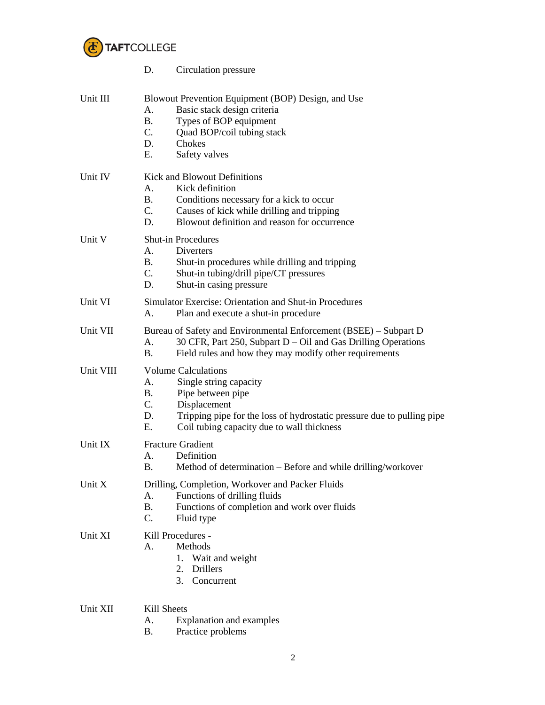

|           | D.<br>Circulation pressure                                                                                                                                                                                                                             |  |
|-----------|--------------------------------------------------------------------------------------------------------------------------------------------------------------------------------------------------------------------------------------------------------|--|
| Unit III  | Blowout Prevention Equipment (BOP) Design, and Use<br>Basic stack design criteria<br>А.<br><b>B.</b><br>Types of BOP equipment<br>C.<br>Quad BOP/coil tubing stack<br>D.<br>Chokes<br>E.<br>Safety valves                                              |  |
| Unit IV   | <b>Kick and Blowout Definitions</b><br>Kick definition<br>A.<br>B.<br>Conditions necessary for a kick to occur<br>C.<br>Causes of kick while drilling and tripping<br>Blowout definition and reason for occurrence<br>D.                               |  |
| Unit V    | <b>Shut-in Procedures</b><br>А.<br>Diverters<br><b>B.</b><br>Shut-in procedures while drilling and tripping<br>C.<br>Shut-in tubing/drill pipe/CT pressures<br>D.<br>Shut-in casing pressure                                                           |  |
| Unit VI   | Simulator Exercise: Orientation and Shut-in Procedures<br>A.<br>Plan and execute a shut-in procedure                                                                                                                                                   |  |
| Unit VII  | Bureau of Safety and Environmental Enforcement (BSEE) – Subpart D<br>30 CFR, Part 250, Subpart D – Oil and Gas Drilling Operations<br>А.<br><b>B.</b><br>Field rules and how they may modify other requirements                                        |  |
| Unit VIII | <b>Volume Calculations</b><br>Single string capacity<br>А.<br><b>B.</b><br>Pipe between pipe<br>C.<br>Displacement<br>D.<br>Tripping pipe for the loss of hydrostatic pressure due to pulling pipe<br>E.<br>Coil tubing capacity due to wall thickness |  |
| Unit IX   | <b>Fracture Gradient</b><br>Definition<br>А.<br>Method of determination - Before and while drilling/workover<br>B.                                                                                                                                     |  |
| Unit X    | Drilling, Completion, Workover and Packer Fluids<br>A.<br>Functions of drilling fluids<br><b>B.</b><br>Functions of completion and work over fluids<br>C.<br>Fluid type                                                                                |  |
| Unit XI   | Kill Procedures -<br>Methods<br>А.<br>1. Wait and weight<br>2. Drillers<br>3.<br>Concurrent                                                                                                                                                            |  |
| Unit XII  | Kill Sheets<br><b>Explanation and examples</b><br>A.<br>Practice problems<br>Β.                                                                                                                                                                        |  |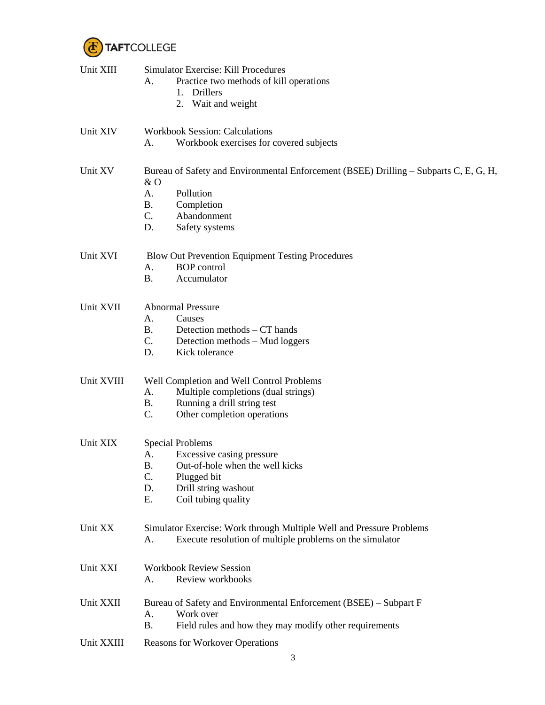

| Unit XIII  | <b>Simulator Exercise: Kill Procedures</b><br>Practice two methods of kill operations<br>А.<br>1.<br>Drillers<br>2. Wait and weight                                                 |  |
|------------|-------------------------------------------------------------------------------------------------------------------------------------------------------------------------------------|--|
| Unit XIV   | <b>Workbook Session: Calculations</b><br>Workbook exercises for covered subjects<br>А.                                                                                              |  |
| Unit XV    | Bureau of Safety and Environmental Enforcement (BSEE) Drilling – Subparts C, E, G, H,<br>& O<br>Pollution<br>А.<br>Β.<br>Completion<br>C.<br>Abandonment<br>D.<br>Safety systems    |  |
| Unit XVI   | <b>Blow Out Prevention Equipment Testing Procedures</b><br><b>BOP</b> control<br>А.<br><b>B.</b><br>Accumulator                                                                     |  |
| Unit XVII  | <b>Abnormal Pressure</b><br>Causes<br>A.<br><b>B.</b><br>Detection methods – CT hands<br>C.<br>Detection methods - Mud loggers<br>Kick tolerance<br>D.                              |  |
| Unit XVIII | Well Completion and Well Control Problems<br>Multiple completions (dual strings)<br>A.<br>Running a drill string test<br>Β.<br>C.<br>Other completion operations                    |  |
| Unit XIX   | <b>Special Problems</b><br>Excessive casing pressure<br>А.<br>Out-of-hole when the well kicks<br>Β.<br>C.<br>Plugged bit<br>D.<br>Drill string washout<br>Ε.<br>Coil tubing quality |  |
| Unit XX    | Simulator Exercise: Work through Multiple Well and Pressure Problems<br>Execute resolution of multiple problems on the simulator<br>A.                                              |  |
| Unit XXI   | <b>Workbook Review Session</b><br>Review workbooks<br>А.                                                                                                                            |  |
| Unit XXII  | Bureau of Safety and Environmental Enforcement (BSEE) – Subpart F<br>Work over<br>A.<br><b>B.</b><br>Field rules and how they may modify other requirements                         |  |
| Unit XXIII | <b>Reasons for Workover Operations</b><br>2                                                                                                                                         |  |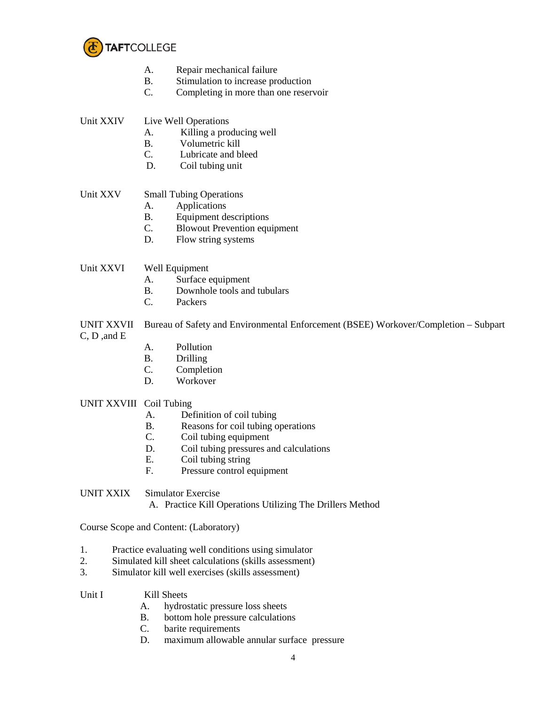

- A. Repair mechanical failure
- B. Stimulation to increase production
- C. Completing in more than one reservoir

| Unit XXIV | Live Well Operations |
|-----------|----------------------|
|-----------|----------------------|

- A. Killing a producing well
- B. Volumetric kill<br>C. Lubricate and b
- Lubricate and bleed
- D. Coil tubing unit

# Unit XXV Small Tubing Operations

- A. Applications
- B. Equipment descriptions
- C. Blowout Prevention equipment
- D. Flow string systems

### Unit XXVI Well Equipment

- A. Surface equipment
- B. Downhole tools and tubulars
- C. Packers

UNIT XXVII Bureau of Safety and Environmental Enforcement (BSEE) Workover/Completion – Subpart C, D ,and E

- A. Pollution
- B. Drilling
- C. Completion
- D. Workover

### UNIT XXVIII Coil Tubing

- A. Definition of coil tubing
- B. Reasons for coil tubing operations
- C. Coil tubing equipment
- D. Coil tubing pressures and calculations
- E. Coil tubing string
- F. Pressure control equipment

#### UNIT XXIX Simulator Exercise A. Practice Kill Operations Utilizing The Drillers Method

Course Scope and Content: (Laboratory)

- 1. Practice evaluating well conditions using simulator
- 2. Simulated kill sheet calculations (skills assessment)
- 3. Simulator kill well exercises (skills assessment)
- Unit I Kill Sheets
	- A. hydrostatic pressure loss sheets
	- B. bottom hole pressure calculations
	- C. barite requirements
	- D. maximum allowable annular surface pressure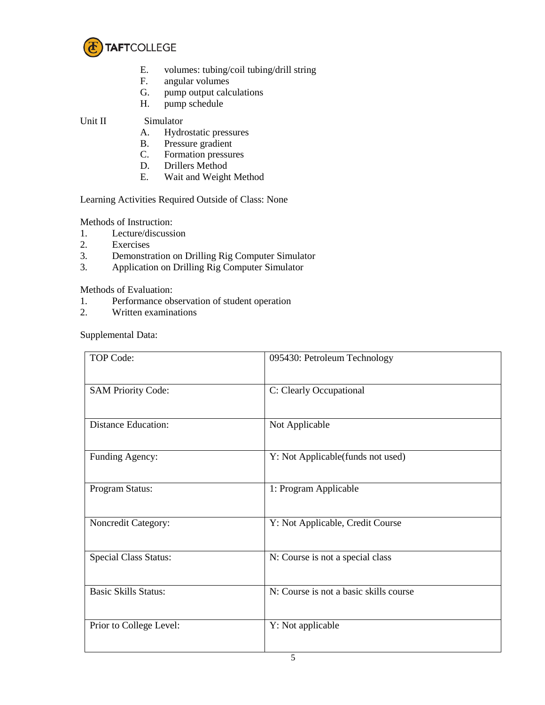

- E. volumes: tubing/coil tubing/drill string<br>F. angular volumes
- angular volumes
- G. pump output calculations
- H. pump schedule

Unit II Simulator

- A. Hydrostatic pressures
- B. Pressure gradient<br>C. Formation pressure
- Formation pressures
- D. Drillers Method
- E. Wait and Weight Method

Learning Activities Required Outside of Class: None

Methods of Instruction:

- 1. Lecture/discussion
- 2. Exercises
- 3. Demonstration on Drilling Rig Computer Simulator
- 3. Application on Drilling Rig Computer Simulator

Methods of Evaluation:

- 1. Performance observation of student operation
- 2. Written examinations

Supplemental Data:

| TOP Code:                    | 095430: Petroleum Technology           |
|------------------------------|----------------------------------------|
| <b>SAM Priority Code:</b>    | C: Clearly Occupational                |
| <b>Distance Education:</b>   | Not Applicable                         |
| Funding Agency:              | Y: Not Applicable(funds not used)      |
| Program Status:              | 1: Program Applicable                  |
| Noncredit Category:          | Y: Not Applicable, Credit Course       |
| <b>Special Class Status:</b> | N: Course is not a special class       |
| <b>Basic Skills Status:</b>  | N: Course is not a basic skills course |
| Prior to College Level:      | Y: Not applicable                      |